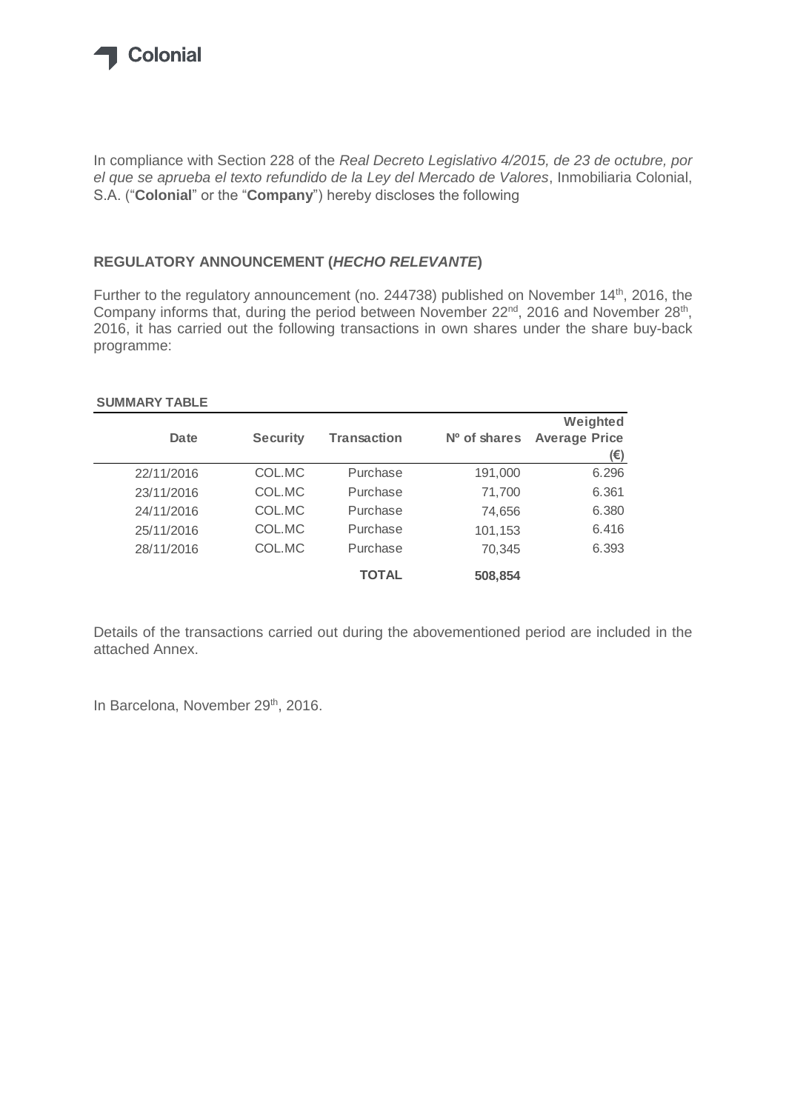

In compliance with Section 228 of the *Real Decreto Legislativo 4/2015, de 23 de octubre, por el que se aprueba el texto refundido de la Ley del Mercado de Valores*, Inmobiliaria Colonial, S.A. ("**Colonial**" or the "**Company**") hereby discloses the following

## **REGULATORY ANNOUNCEMENT (***HECHO RELEVANTE***)**

Further to the regulatory announcement (no. 244738) published on November 14<sup>th</sup>, 2016, the Company informs that, during the period between November 22<sup>nd</sup>, 2016 and November 28<sup>th</sup>, 2016, it has carried out the following transactions in own shares under the share buy-back programme:

## **SUMMARY TABLE**

|            |                 |                    |              | Weighted             |
|------------|-----------------|--------------------|--------------|----------------------|
| Date       | <b>Security</b> | <b>Transaction</b> | Nº of shares | <b>Average Price</b> |
|            |                 |                    |              | (€)                  |
| 22/11/2016 | COL.MC          | Purchase           | 191,000      | 6.296                |
| 23/11/2016 | COL.MC          | Purchase           | 71,700       | 6.361                |
| 24/11/2016 | COL.MC          | Purchase           | 74,656       | 6.380                |
| 25/11/2016 | COL.MC          | Purchase           | 101,153      | 6.416                |
| 28/11/2016 | COL.MC          | Purchase           | 70.345       | 6.393                |
|            |                 | <b>TOTAL</b>       | 508,854      |                      |

Details of the transactions carried out during the abovementioned period are included in the attached Annex.

In Barcelona, November 29<sup>th</sup>, 2016.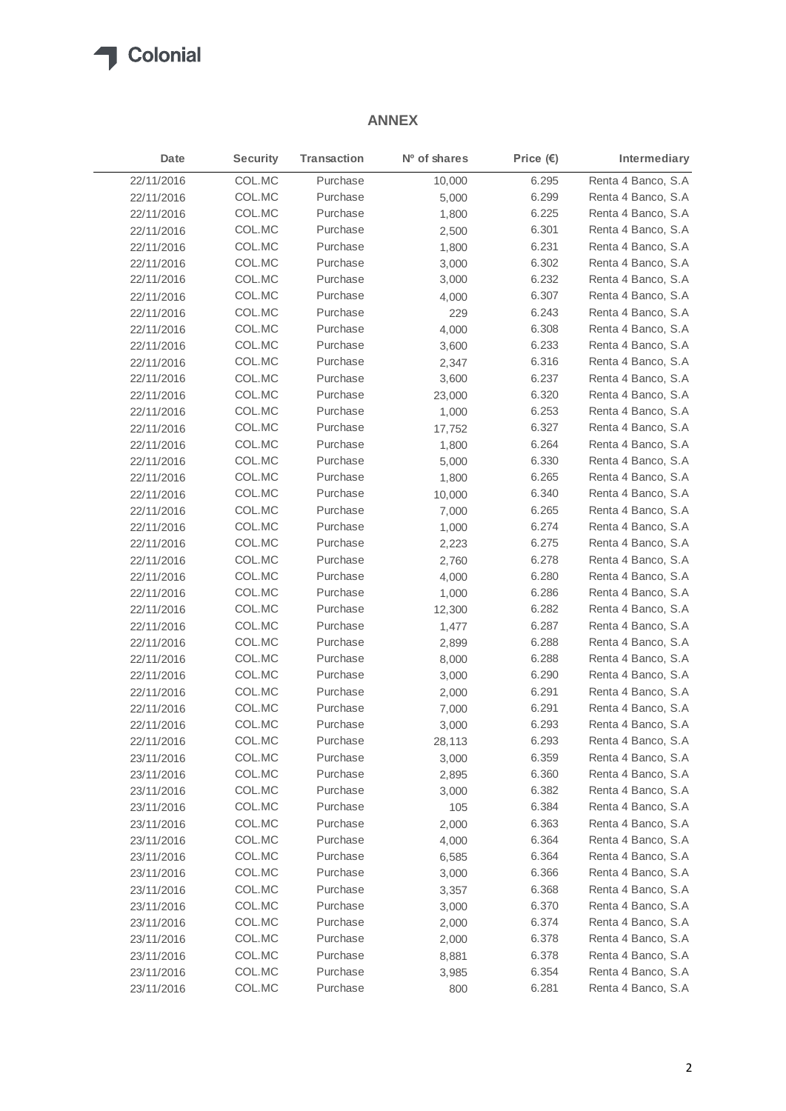

## **ANNEX**

| Date       | <b>Security</b> | <b>Transaction</b> | Nº of shares | Price $(E)$ | Intermediary        |
|------------|-----------------|--------------------|--------------|-------------|---------------------|
| 22/11/2016 | COL.MC          | Purchase           | 10,000       | 6.295       | Renta 4 Banco, S.A  |
| 22/11/2016 | COL.MC          | Purchase           | 5,000        | 6.299       | Renta 4 Banco, S.A  |
| 22/11/2016 | COL.MC          | Purchase           | 1,800        | 6.225       | Renta 4 Banco, S.A  |
| 22/11/2016 | COL.MC          | Purchase           | 2,500        | 6.301       | Renta 4 Banco, S.A  |
| 22/11/2016 | COL.MC          | Purchase           | 1,800        | 6.231       | Renta 4 Banco, S.A  |
| 22/11/2016 | COL.MC          | Purchase           | 3,000        | 6.302       | Renta 4 Banco, S.A  |
| 22/11/2016 | COL.MC          | Purchase           | 3,000        | 6.232       | Renta 4 Banco, S.A  |
| 22/11/2016 | COL.MC          | Purchase           | 4,000        | 6.307       | Renta 4 Banco, S.A  |
| 22/11/2016 | COL.MC          | Purchase           | 229          | 6.243       | Renta 4 Banco, S.A  |
| 22/11/2016 | COL.MC          | Purchase           | 4,000        | 6.308       | Renta 4 Banco, S.A  |
| 22/11/2016 | COL.MC          | Purchase           | 3,600        | 6.233       | Renta 4 Banco, S.A  |
| 22/11/2016 | COL.MC          | Purchase           | 2,347        | 6.316       | Renta 4 Banco, S.A. |
| 22/11/2016 | COL.MC          | Purchase           | 3,600        | 6.237       | Renta 4 Banco, S.A  |
| 22/11/2016 | COL.MC          | Purchase           | 23,000       | 6.320       | Renta 4 Banco, S.A  |
| 22/11/2016 | COL.MC          | Purchase           | 1,000        | 6.253       | Renta 4 Banco, S.A  |
| 22/11/2016 | COL.MC          | Purchase           | 17,752       | 6.327       | Renta 4 Banco, S.A  |
| 22/11/2016 | COL.MC          | Purchase           | 1,800        | 6.264       | Renta 4 Banco, S.A  |
| 22/11/2016 | COL.MC          | Purchase           | 5,000        | 6.330       | Renta 4 Banco, S.A  |
| 22/11/2016 | COL.MC          | Purchase           | 1,800        | 6.265       | Renta 4 Banco, S.A  |
| 22/11/2016 | COL.MC          | Purchase           | 10,000       | 6.340       | Renta 4 Banco, S.A  |
| 22/11/2016 | COL.MC          | Purchase           | 7,000        | 6.265       | Renta 4 Banco, S.A  |
| 22/11/2016 | COL.MC          | Purchase           | 1,000        | 6.274       | Renta 4 Banco, S.A  |
| 22/11/2016 | COL.MC          | Purchase           | 2,223        | 6.275       | Renta 4 Banco, S.A  |
| 22/11/2016 | COL.MC          | Purchase           | 2,760        | 6.278       | Renta 4 Banco, S.A  |
| 22/11/2016 | COL.MC          | Purchase           | 4,000        | 6.280       | Renta 4 Banco, S.A  |
| 22/11/2016 | COL.MC          | Purchase           | 1,000        | 6.286       | Renta 4 Banco, S.A  |
| 22/11/2016 | COL.MC          | Purchase           | 12,300       | 6.282       | Renta 4 Banco, S.A  |
| 22/11/2016 | COL.MC          | Purchase           | 1,477        | 6.287       | Renta 4 Banco, S.A  |
| 22/11/2016 | COL.MC          | Purchase           | 2,899        | 6.288       | Renta 4 Banco, S.A  |
| 22/11/2016 | COL.MC          | Purchase           | 8,000        | 6.288       | Renta 4 Banco, S.A  |
| 22/11/2016 | COL.MC          | Purchase           | 3,000        | 6.290       | Renta 4 Banco, S.A  |
| 22/11/2016 | COL.MC          | Purchase           | 2,000        | 6.291       | Renta 4 Banco, S.A  |
| 22/11/2016 | COL.MC          | Purchase           | 7,000        | 6.291       | Renta 4 Banco, S.A  |
| 22/11/2016 | COL.MC          | Purchase           | 3,000        | 6.293       | Renta 4 Banco, S.A  |
| 22/11/2016 | COL.MC          | Purchase           | 28,113       | 6.293       | Renta 4 Banco, S.A  |
| 23/11/2016 | COL.MC          | Purchase           | 3,000        | 6.359       | Renta 4 Banco, S.A  |
| 23/11/2016 | COL.MC          | Purchase           | 2,895        | 6.360       | Renta 4 Banco, S.A  |
| 23/11/2016 | COL.MC          | Purchase           | 3,000        | 6.382       | Renta 4 Banco, S.A  |
| 23/11/2016 | COL.MC          | Purchase           | 105          | 6.384       | Renta 4 Banco, S.A  |
| 23/11/2016 | COL.MC          | Purchase           | 2,000        | 6.363       | Renta 4 Banco, S.A  |
| 23/11/2016 | COL.MC          | Purchase           | 4,000        | 6.364       | Renta 4 Banco, S.A  |
| 23/11/2016 | COL.MC          | Purchase           | 6,585        | 6.364       | Renta 4 Banco, S.A  |
| 23/11/2016 | COL.MC          | Purchase           | 3,000        | 6.366       | Renta 4 Banco, S.A  |
| 23/11/2016 | COL.MC          | Purchase           | 3,357        | 6.368       | Renta 4 Banco, S.A  |
| 23/11/2016 | COL.MC          | Purchase           | 3,000        | 6.370       | Renta 4 Banco, S.A  |
| 23/11/2016 | COL.MC          | Purchase           | 2,000        | 6.374       | Renta 4 Banco, S.A  |
| 23/11/2016 | COL.MC          | Purchase           | 2,000        | 6.378       | Renta 4 Banco, S.A  |
| 23/11/2016 | COL.MC          | Purchase           | 8,881        | 6.378       | Renta 4 Banco, S.A  |
| 23/11/2016 | COL.MC          | Purchase           | 3,985        | 6.354       | Renta 4 Banco, S.A  |
| 23/11/2016 | COL.MC          | Purchase           | 800          | 6.281       | Renta 4 Banco, S.A  |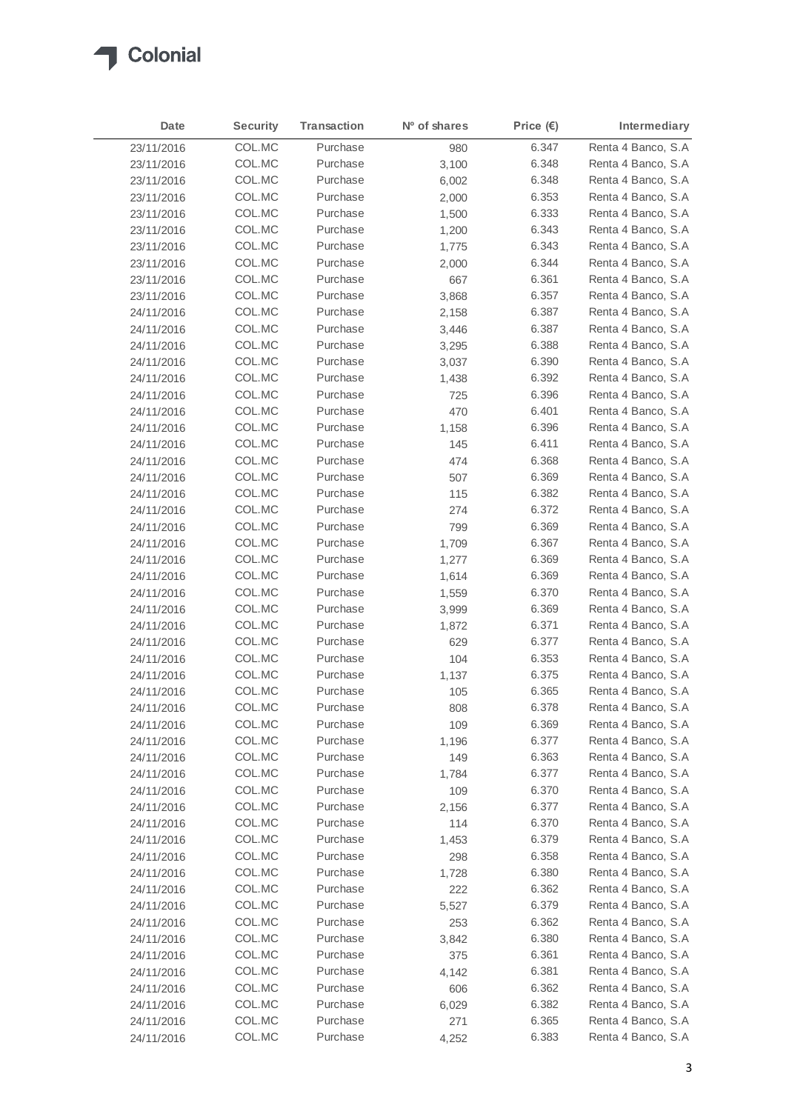

| Date       | <b>Security</b> | <b>Transaction</b> | Nº of shares | Price $(E)$ | Intermediary        |
|------------|-----------------|--------------------|--------------|-------------|---------------------|
| 23/11/2016 | COL.MC          | Purchase           | 980          | 6.347       | Renta 4 Banco, S.A  |
| 23/11/2016 | COL.MC          | Purchase           | 3,100        | 6.348       | Renta 4 Banco, S.A  |
| 23/11/2016 | COL.MC          | Purchase           | 6,002        | 6.348       | Renta 4 Banco, S.A  |
| 23/11/2016 | COL.MC          | Purchase           | 2,000        | 6.353       | Renta 4 Banco, S.A. |
| 23/11/2016 | COL.MC          | Purchase           | 1,500        | 6.333       | Renta 4 Banco, S.A. |
| 23/11/2016 | COL.MC          | Purchase           | 1,200        | 6.343       | Renta 4 Banco, S.A  |
| 23/11/2016 | COL.MC          | Purchase           | 1,775        | 6.343       | Renta 4 Banco, S.A. |
| 23/11/2016 | COL.MC          | Purchase           | 2,000        | 6.344       | Renta 4 Banco, S.A  |
| 23/11/2016 | COL.MC          | Purchase           | 667          | 6.361       | Renta 4 Banco, S.A  |
| 23/11/2016 | COL.MC          | Purchase           | 3,868        | 6.357       | Renta 4 Banco, S.A  |
| 24/11/2016 | COL.MC          | Purchase           | 2,158        | 6.387       | Renta 4 Banco, S.A  |
| 24/11/2016 | COL.MC          | Purchase           | 3,446        | 6.387       | Renta 4 Banco, S.A  |
| 24/11/2016 | COL.MC          | Purchase           | 3,295        | 6.388       | Renta 4 Banco, S.A  |
| 24/11/2016 | COL.MC          | Purchase           | 3,037        | 6.390       | Renta 4 Banco, S.A  |
| 24/11/2016 | COL.MC          | Purchase           | 1,438        | 6.392       | Renta 4 Banco, S.A  |
| 24/11/2016 | COL.MC          | Purchase           | 725          | 6.396       | Renta 4 Banco, S.A. |
| 24/11/2016 | COL.MC          | Purchase           | 470          | 6.401       | Renta 4 Banco, S.A  |
| 24/11/2016 | COL.MC          | Purchase           | 1,158        | 6.396       | Renta 4 Banco, S.A  |
| 24/11/2016 | COL.MC          | Purchase           | 145          | 6.411       | Renta 4 Banco, S.A. |
| 24/11/2016 | COL.MC          | Purchase           | 474          | 6.368       | Renta 4 Banco, S.A  |
| 24/11/2016 | COL.MC          | Purchase           | 507          | 6.369       | Renta 4 Banco, S.A  |
| 24/11/2016 | COL.MC          | Purchase           | 115          | 6.382       | Renta 4 Banco, S.A  |
| 24/11/2016 | COL.MC          | Purchase           | 274          | 6.372       | Renta 4 Banco, S.A  |
| 24/11/2016 | COL.MC          | Purchase           | 799          | 6.369       | Renta 4 Banco, S.A  |
| 24/11/2016 | COL.MC          | Purchase           | 1,709        | 6.367       | Renta 4 Banco, S.A  |
| 24/11/2016 | COL.MC          | Purchase           | 1,277        | 6.369       | Renta 4 Banco, S.A. |
| 24/11/2016 | COL.MC          | Purchase           | 1,614        | 6.369       | Renta 4 Banco, S.A  |
| 24/11/2016 | COL.MC          | Purchase           | 1,559        | 6.370       | Renta 4 Banco, S.A  |
| 24/11/2016 | COL.MC          | Purchase           | 3,999        | 6.369       | Renta 4 Banco, S.A. |
| 24/11/2016 | COL.MC          | Purchase           | 1,872        | 6.371       | Renta 4 Banco, S.A  |
| 24/11/2016 | COL.MC          | Purchase           | 629          | 6.377       | Renta 4 Banco, S.A  |
| 24/11/2016 | COL.MC          | Purchase           | 104          | 6.353       | Renta 4 Banco, S.A. |
| 24/11/2016 | COL.MC          | Purchase           | 1,137        | 6.375       | Renta 4 Banco, S.A. |
| 24/11/2016 | COL.MC          | Purchase           | 105          | 6.365       | Renta 4 Banco, S.A  |
| 24/11/2016 | COL.MC          | Purchase           | 808          | 6.378       | Renta 4 Banco, S.A  |
| 24/11/2016 | COL.MC          | Purchase           | 109          | 6.369       | Renta 4 Banco, S.A  |
| 24/11/2016 | COL.MC          | Purchase           | 1,196        | 6.377       | Renta 4 Banco, S.A  |
| 24/11/2016 | COL.MC          | Purchase           | 149          | 6.363       | Renta 4 Banco, S.A  |
| 24/11/2016 | COL.MC          | Purchase           | 1,784        | 6.377       | Renta 4 Banco, S.A  |
| 24/11/2016 | COL.MC          | Purchase           | 109          | 6.370       | Renta 4 Banco, S.A  |
| 24/11/2016 | COL.MC          | Purchase           | 2,156        | 6.377       | Renta 4 Banco, S.A  |
| 24/11/2016 | COL.MC          | Purchase           | 114          | 6.370       | Renta 4 Banco, S.A  |
| 24/11/2016 | COL.MC          | Purchase           | 1,453        | 6.379       | Renta 4 Banco, S.A  |
| 24/11/2016 | COL.MC          | Purchase           | 298          | 6.358       | Renta 4 Banco, S.A  |
| 24/11/2016 | COL.MC          | Purchase           | 1,728        | 6.380       | Renta 4 Banco, S.A  |
| 24/11/2016 | COL.MC          | Purchase           | 222          | 6.362       | Renta 4 Banco, S.A  |
| 24/11/2016 | COL.MC          | Purchase           | 5,527        | 6.379       | Renta 4 Banco, S.A  |
| 24/11/2016 | COL.MC          | Purchase           | 253          | 6.362       | Renta 4 Banco, S.A  |
| 24/11/2016 | COL.MC          | Purchase           | 3,842        | 6.380       | Renta 4 Banco, S.A  |
| 24/11/2016 | COL.MC          | Purchase           | 375          | 6.361       | Renta 4 Banco, S.A  |
| 24/11/2016 | COL.MC          | Purchase           | 4,142        | 6.381       | Renta 4 Banco, S.A  |
| 24/11/2016 | COL.MC          | Purchase           | 606          | 6.362       | Renta 4 Banco, S.A  |
| 24/11/2016 | COL.MC          | Purchase           | 6,029        | 6.382       | Renta 4 Banco, S.A  |
| 24/11/2016 | COL.MC          | Purchase           | 271          | 6.365       | Renta 4 Banco, S.A  |
| 24/11/2016 | COL.MC          | Purchase           | 4,252        | 6.383       | Renta 4 Banco, S.A  |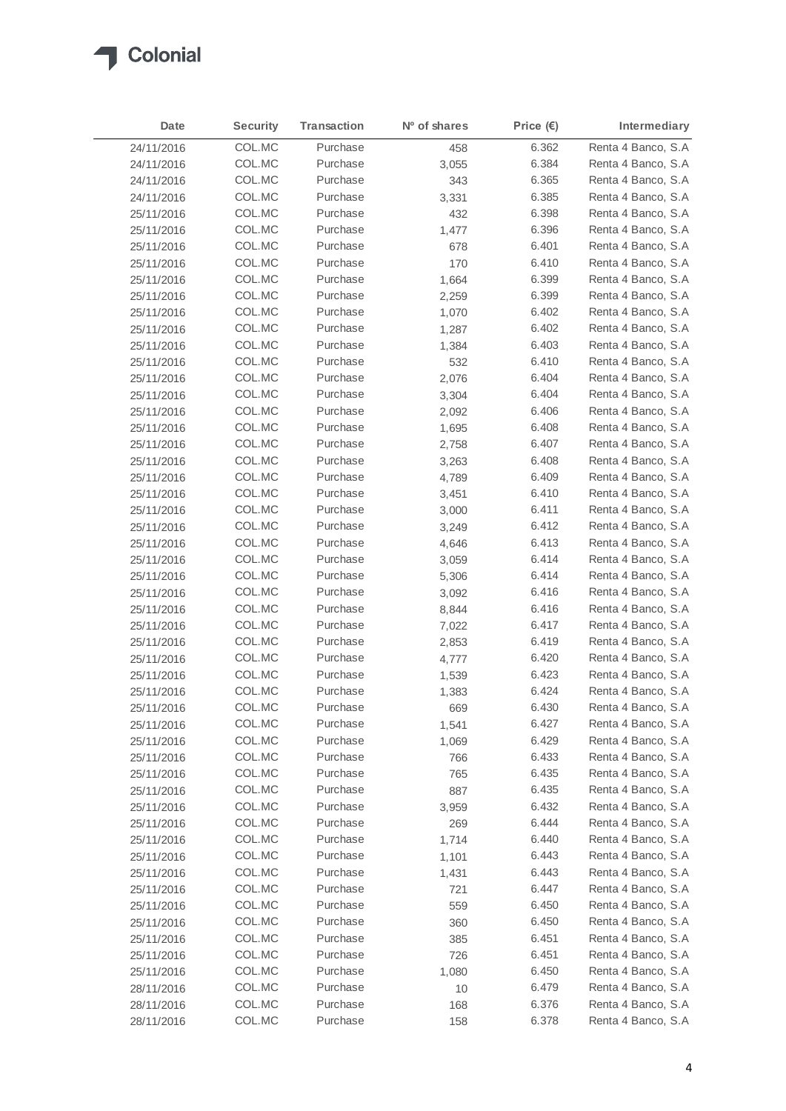

| Date       | <b>Security</b> | <b>Transaction</b> | Nº of shares | Price $(\epsilon)$ | Intermediary       |
|------------|-----------------|--------------------|--------------|--------------------|--------------------|
| 24/11/2016 | COL.MC          | Purchase           | 458          | 6.362              | Renta 4 Banco, S.A |
| 24/11/2016 | COL.MC          | Purchase           | 3,055        | 6.384              | Renta 4 Banco, S.A |
| 24/11/2016 | COL.MC          | Purchase           | 343          | 6.365              | Renta 4 Banco, S.A |
| 24/11/2016 | COL.MC          | Purchase           | 3,331        | 6.385              | Renta 4 Banco, S.A |
| 25/11/2016 | COL.MC          | Purchase           | 432          | 6.398              | Renta 4 Banco, S.A |
| 25/11/2016 | COL.MC          | Purchase           | 1,477        | 6.396              | Renta 4 Banco, S.A |
| 25/11/2016 | COL.MC          | Purchase           | 678          | 6.401              | Renta 4 Banco, S.A |
| 25/11/2016 | COL.MC          | Purchase           | 170          | 6.410              | Renta 4 Banco, S.A |
| 25/11/2016 | COL.MC          | Purchase           | 1,664        | 6.399              | Renta 4 Banco, S.A |
| 25/11/2016 | COL.MC          | Purchase           | 2,259        | 6.399              | Renta 4 Banco, S.A |
| 25/11/2016 | COL.MC          | Purchase           | 1,070        | 6.402              | Renta 4 Banco, S.A |
| 25/11/2016 | COL.MC          | Purchase           | 1,287        | 6.402              | Renta 4 Banco, S.A |
| 25/11/2016 | COL.MC          | Purchase           | 1,384        | 6.403              | Renta 4 Banco, S.A |
| 25/11/2016 | COL.MC          | Purchase           | 532          | 6.410              | Renta 4 Banco, S.A |
| 25/11/2016 | COL.MC          | Purchase           | 2,076        | 6.404              | Renta 4 Banco, S.A |
| 25/11/2016 | COL.MC          | Purchase           | 3,304        | 6.404              | Renta 4 Banco, S.A |
| 25/11/2016 | COL.MC          | Purchase           | 2,092        | 6.406              | Renta 4 Banco, S.A |
| 25/11/2016 | COL.MC          | Purchase           | 1,695        | 6.408              | Renta 4 Banco, S.A |
| 25/11/2016 | COL.MC          | Purchase           | 2,758        | 6.407              | Renta 4 Banco, S.A |
| 25/11/2016 | COL.MC          | Purchase           | 3,263        | 6.408              | Renta 4 Banco, S.A |
| 25/11/2016 | COL.MC          | Purchase           | 4,789        | 6.409              | Renta 4 Banco, S.A |
| 25/11/2016 | COL.MC          | Purchase           | 3,451        | 6.410              | Renta 4 Banco, S.A |
| 25/11/2016 | COL.MC          | Purchase           | 3,000        | 6.411              | Renta 4 Banco, S.A |
| 25/11/2016 | COL.MC          | Purchase           | 3,249        | 6.412              | Renta 4 Banco, S.A |
| 25/11/2016 | COL.MC          | Purchase           | 4,646        | 6.413              | Renta 4 Banco, S.A |
| 25/11/2016 | COL.MC          | Purchase           | 3,059        | 6.414              | Renta 4 Banco, S.A |
| 25/11/2016 | COL.MC          | Purchase           | 5,306        | 6.414              | Renta 4 Banco, S.A |
| 25/11/2016 | COL.MC          | Purchase           | 3,092        | 6.416              | Renta 4 Banco, S.A |
| 25/11/2016 | COL.MC          | Purchase           | 8,844        | 6.416              | Renta 4 Banco, S.A |
| 25/11/2016 | COL.MC          | Purchase           | 7,022        | 6.417              | Renta 4 Banco, S.A |
| 25/11/2016 | COL.MC          | Purchase           | 2,853        | 6.419              | Renta 4 Banco, S.A |
| 25/11/2016 | COL.MC          | Purchase           | 4,777        | 6.420              | Renta 4 Banco, S.A |
| 25/11/2016 | COL.MC          | Purchase           | 1,539        | 6.423              | Renta 4 Banco, S.A |
| 25/11/2016 | COL.MC          | Purchase           | 1,383        | 6.424              | Renta 4 Banco, S.A |
| 25/11/2016 | COL.MC          | Purchase           | 669          | 6.430              | Renta 4 Banco, S.A |
| 25/11/2016 | COL.MC          | Purchase           | 1,541        | 6.427              | Renta 4 Banco, S.A |
| 25/11/2016 | COL.MC          | Purchase           | 1,069        | 6.429              | Renta 4 Banco, S.A |
| 25/11/2016 | COL.MC          | Purchase           | 766          | 6.433              | Renta 4 Banco, S.A |
| 25/11/2016 | COL.MC          | Purchase           | 765          | 6.435              | Renta 4 Banco, S.A |
| 25/11/2016 | COL.MC          | Purchase           | 887          | 6.435              | Renta 4 Banco, S.A |
| 25/11/2016 | COL.MC          | Purchase           | 3,959        | 6.432              | Renta 4 Banco, S.A |
| 25/11/2016 | COL.MC          | Purchase           | 269          | 6.444              | Renta 4 Banco, S.A |
| 25/11/2016 | COL.MC          | Purchase           | 1,714        | 6.440              | Renta 4 Banco, S.A |
| 25/11/2016 | COL.MC          | Purchase           | 1,101        | 6.443              | Renta 4 Banco, S.A |
| 25/11/2016 | COL.MC          | Purchase           | 1,431        | 6.443              | Renta 4 Banco, S.A |
| 25/11/2016 | COL.MC          | Purchase           | 721          | 6.447              | Renta 4 Banco, S.A |
| 25/11/2016 | COL.MC          | Purchase           | 559          | 6.450              | Renta 4 Banco, S.A |
| 25/11/2016 | COL.MC          | Purchase           | 360          | 6.450              | Renta 4 Banco, S.A |
| 25/11/2016 | COL.MC          | Purchase           | 385          | 6.451              | Renta 4 Banco, S.A |
| 25/11/2016 | COL.MC          | Purchase           | 726          | 6.451              | Renta 4 Banco, S.A |
| 25/11/2016 | COL.MC          | Purchase           | 1,080        | 6.450              | Renta 4 Banco, S.A |
| 28/11/2016 | COL.MC          | Purchase           | 10           | 6.479              | Renta 4 Banco, S.A |
| 28/11/2016 | COL.MC          | Purchase           | 168          | 6.376              | Renta 4 Banco, S.A |
| 28/11/2016 | COL.MC          | Purchase           | 158          | 6.378              | Renta 4 Banco, S.A |